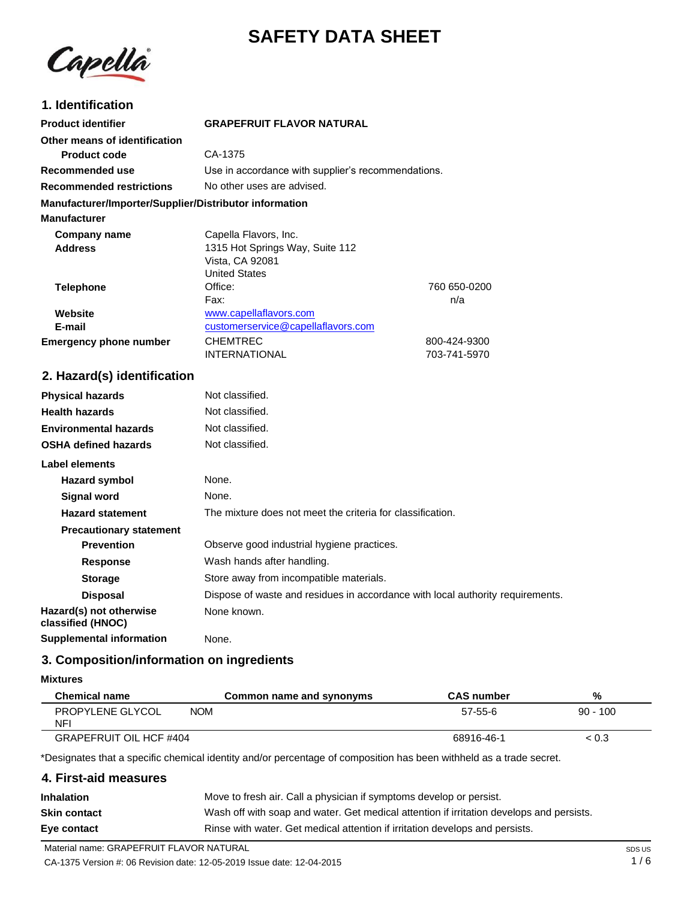# **SAFETY DATA SHEET**

Capella

### **1. Identification**

| <b>Product identifier</b>                              | <b>GRAPEFRUIT FLAVOR NATURAL</b>                          |              |
|--------------------------------------------------------|-----------------------------------------------------------|--------------|
|                                                        |                                                           |              |
| Other means of identification                          |                                                           |              |
| <b>Product code</b>                                    | CA-1375                                                   |              |
| Recommended use                                        | Use in accordance with supplier's recommendations.        |              |
| <b>Recommended restrictions</b>                        | No other uses are advised.                                |              |
| Manufacturer/Importer/Supplier/Distributor information |                                                           |              |
| <b>Manufacturer</b>                                    |                                                           |              |
| Company name                                           | Capella Flavors, Inc.                                     |              |
| <b>Address</b>                                         | 1315 Hot Springs Way, Suite 112                           |              |
|                                                        | Vista, CA 92081                                           |              |
|                                                        | <b>United States</b>                                      |              |
| <b>Telephone</b>                                       | Office:                                                   | 760 650-0200 |
|                                                        | Fax:                                                      | n/a          |
| Website                                                | www.capellaflavors.com                                    |              |
| E-mail                                                 | customerservice@capellaflavors.com                        |              |
| <b>Emergency phone number</b>                          | <b>CHEMTREC</b>                                           | 800-424-9300 |
|                                                        | <b>INTERNATIONAL</b>                                      | 703-741-5970 |
| 2. Hazard(s) identification                            |                                                           |              |
| <b>Physical hazards</b>                                | Not classified.                                           |              |
| <b>Health hazards</b>                                  | Not classified.                                           |              |
|                                                        | $\mathbf{r}$ , $\mathbf{r}$ , $\mathbf{r}$ , $\mathbf{r}$ |              |

| <b>Environmental hazards</b>                 | Not classified.                                                                |
|----------------------------------------------|--------------------------------------------------------------------------------|
| <b>OSHA defined hazards</b>                  | Not classified.                                                                |
| Label elements                               |                                                                                |
| Hazard symbol                                | None.                                                                          |
| Signal word                                  | None.                                                                          |
| <b>Hazard statement</b>                      | The mixture does not meet the criteria for classification.                     |
| <b>Precautionary statement</b>               |                                                                                |
| <b>Prevention</b>                            | Observe good industrial hygiene practices.                                     |
| <b>Response</b>                              | Wash hands after handling.                                                     |
| <b>Storage</b>                               | Store away from incompatible materials.                                        |
| <b>Disposal</b>                              | Dispose of waste and residues in accordance with local authority requirements. |
| Hazard(s) not otherwise<br>classified (HNOC) | None known.                                                                    |
| <b>Supplemental information</b>              | None.                                                                          |

### **3. Composition/information on ingredients**

#### **Mixtures**

| <b>Chemical name</b>           | Common name and synonyms | <b>CAS number</b> | %          |
|--------------------------------|--------------------------|-------------------|------------|
| PROPYLENE GLYCOL<br><b>NFI</b> | <b>NOM</b>               | $57 - 55 - 6$     | $90 - 100$ |
| GRAPEFRUIT OIL HCF #404        |                          | 68916-46-1        | ~< 0.3     |

\*Designates that a specific chemical identity and/or percentage of composition has been withheld as a trade secret.

### **4. First-aid measures**

| <b>Inhalation</b>   | Move to fresh air. Call a physician if symptoms develop or persist.                      |
|---------------------|------------------------------------------------------------------------------------------|
| <b>Skin contact</b> | Wash off with soap and water. Get medical attention if irritation develops and persists. |
| Eye contact         | Rinse with water. Get medical attention if irritation develops and persists.             |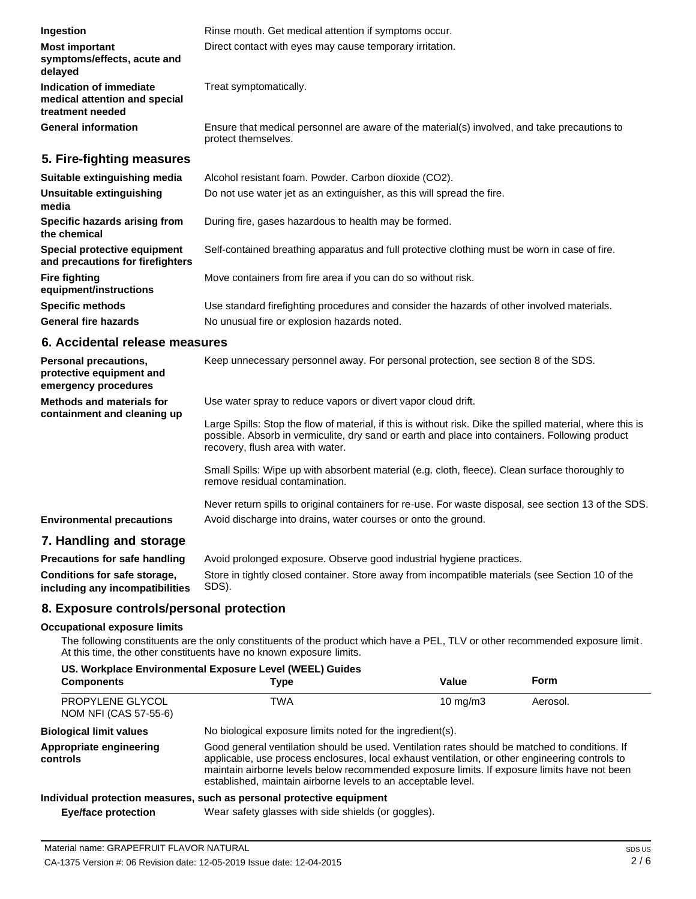| Ingestion                                                                    | Rinse mouth. Get medical attention if symptoms occur.                                                               |
|------------------------------------------------------------------------------|---------------------------------------------------------------------------------------------------------------------|
| <b>Most important</b><br>symptoms/effects, acute and<br>delayed              | Direct contact with eyes may cause temporary irritation.                                                            |
| Indication of immediate<br>medical attention and special<br>treatment needed | Treat symptomatically.                                                                                              |
| <b>General information</b>                                                   | Ensure that medical personnel are aware of the material(s) involved, and take precautions to<br>protect themselves. |
| 5. Fire-fighting measures                                                    |                                                                                                                     |
| Suitable extinguishing media                                                 | Alcohol resistant foam. Powder. Carbon dioxide (CO2).                                                               |
| Unsuitable extinguishing<br>media                                            | Do not use water jet as an extinguisher, as this will spread the fire.                                              |
| Specific hazards arising from<br>the chemical                                | During fire, gases hazardous to health may be formed.                                                               |
| Special protective equipment<br>and precautions for firefighters             | Self-contained breathing apparatus and full protective clothing must be worn in case of fire.                       |
| <b>Fire fighting</b><br>equipment/instructions                               | Move containers from fire area if you can do so without risk.                                                       |
| <b>Specific methods</b>                                                      | Use standard firefighting procedures and consider the hazards of other involved materials.                          |

No unusual fire or explosion hazards noted.

**6. Accidental release measures**

**General fire hazards**

| <b>Personal precautions,</b><br>protective equipment and<br>emergency procedures | Keep unnecessary personnel away. For personal protection, see section 8 of the SDS.                                                                                                                                                               |
|----------------------------------------------------------------------------------|---------------------------------------------------------------------------------------------------------------------------------------------------------------------------------------------------------------------------------------------------|
| Methods and materials for<br>containment and cleaning up                         | Use water spray to reduce vapors or divert vapor cloud drift.                                                                                                                                                                                     |
|                                                                                  | Large Spills: Stop the flow of material, if this is without risk. Dike the spilled material, where this is<br>possible. Absorb in vermiculite, dry sand or earth and place into containers. Following product<br>recovery, flush area with water. |
|                                                                                  | Small Spills: Wipe up with absorbent material (e.g. cloth, fleece). Clean surface thoroughly to<br>remove residual contamination.                                                                                                                 |
| <b>Environmental precautions</b>                                                 | Never return spills to original containers for re-use. For waste disposal, see section 13 of the SDS.<br>Avoid discharge into drains, water courses or onto the ground.                                                                           |

### **7. Handling and storage**

**Precautions for safe handling Conditions for safe storage, including any incompatibilities** Avoid prolonged exposure. Observe good industrial hygiene practices. Store in tightly closed container. Store away from incompatible materials (see Section 10 of the SDS).

### **8. Exposure controls/personal protection**

#### **Occupational exposure limits**

The following constituents are the only constituents of the product which have a PEL, TLV or other recommended exposure limit. At this time, the other constituents have no known exposure limits.

| US. Workplace Environmental Exposure Level (WEEL) Guides |                                                                                                                                                                                                                                                                                                                                                                    |             |          |
|----------------------------------------------------------|--------------------------------------------------------------------------------------------------------------------------------------------------------------------------------------------------------------------------------------------------------------------------------------------------------------------------------------------------------------------|-------------|----------|
| <b>Components</b>                                        | Type                                                                                                                                                                                                                                                                                                                                                               | Value       | Form     |
| PROPYLENE GLYCOL<br>NOM NFI (CAS 57-55-6)                | <b>TWA</b>                                                                                                                                                                                                                                                                                                                                                         | 10 mg/m $3$ | Aerosol. |
| <b>Biological limit values</b>                           | No biological exposure limits noted for the ingredient(s).                                                                                                                                                                                                                                                                                                         |             |          |
| Appropriate engineering<br>controls                      | Good general ventilation should be used. Ventilation rates should be matched to conditions. If<br>applicable, use process enclosures, local exhaust ventilation, or other engineering controls to<br>maintain airborne levels below recommended exposure limits. If exposure limits have not been<br>established, maintain airborne levels to an acceptable level. |             |          |
|                                                          | Individual protection measures, such as personal protective equipment                                                                                                                                                                                                                                                                                              |             |          |
| Eye/face protection                                      | Wear safety glasses with side shields (or goggles).                                                                                                                                                                                                                                                                                                                |             |          |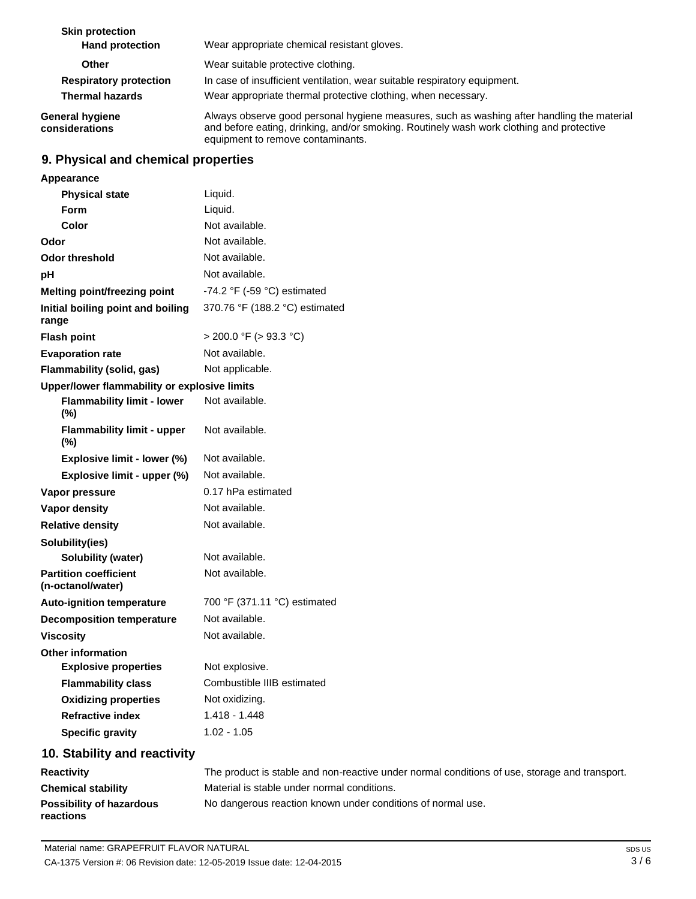| <b>Skin protection</b><br><b>Hand protection</b> | Wear appropriate chemical resistant gloves.                                                                                                                                                                                 |
|--------------------------------------------------|-----------------------------------------------------------------------------------------------------------------------------------------------------------------------------------------------------------------------------|
| Other                                            | Wear suitable protective clothing.                                                                                                                                                                                          |
| <b>Respiratory protection</b>                    | In case of insufficient ventilation, wear suitable respiratory equipment.                                                                                                                                                   |
| <b>Thermal hazards</b>                           | Wear appropriate thermal protective clothing, when necessary.                                                                                                                                                               |
| <b>General hygiene</b><br>considerations         | Always observe good personal hygiene measures, such as washing after handling the material<br>and before eating, drinking, and/or smoking. Routinely wash work clothing and protective<br>equipment to remove contaminants. |

### **9. Physical and chemical properties**

| Appearance                                        |                                               |
|---------------------------------------------------|-----------------------------------------------|
| <b>Physical state</b>                             | Liquid.                                       |
| <b>Form</b>                                       | Liquid.                                       |
| Color                                             | Not available.                                |
| Odor                                              | Not available.                                |
| <b>Odor threshold</b>                             | Not available.                                |
| рH                                                | Not available.                                |
| Melting point/freezing point                      | -74.2 $\degree$ F (-59 $\degree$ C) estimated |
| Initial boiling point and boiling<br>range        | 370.76 °F (188.2 °C) estimated                |
| <b>Flash point</b>                                | $>$ 200.0 °F ( $>$ 93.3 °C)                   |
| <b>Evaporation rate</b>                           | Not available.                                |
| Flammability (solid, gas)                         | Not applicable.                               |
| Upper/lower flammability or explosive limits      |                                               |
| <b>Flammability limit - lower</b><br>(%)          | Not available.                                |
| <b>Flammability limit - upper</b><br>$(\% )$      | Not available.                                |
| Explosive limit - lower (%)                       | Not available.                                |
| Explosive limit - upper (%)                       | Not available.                                |
| Vapor pressure                                    | 0.17 hPa estimated                            |
| Vapor density                                     | Not available.                                |
| <b>Relative density</b>                           | Not available.                                |
| Solubility(ies)                                   |                                               |
| <b>Solubility (water)</b>                         | Not available.                                |
| <b>Partition coefficient</b><br>(n-octanol/water) | Not available.                                |
| Auto-ignition temperature                         | 700 °F (371.11 °C) estimated                  |
| <b>Decomposition temperature</b>                  | Not available.                                |
| <b>Viscosity</b>                                  | Not available.                                |
| <b>Other information</b>                          |                                               |
| <b>Explosive properties</b>                       | Not explosive.                                |
| <b>Flammability class</b>                         | Combustible IIIB estimated                    |
| <b>Oxidizing properties</b>                       | Not oxidizing.                                |
| <b>Refractive index</b>                           | $1.418 - 1.448$                               |
| <b>Specific gravity</b>                           | $1.02 - 1.05$                                 |
|                                                   |                                               |

### **10. Stability and reactivity**

| <b>Reactivity</b>                            | The product is stable and non-reactive under normal conditions of use, storage and transport. |
|----------------------------------------------|-----------------------------------------------------------------------------------------------|
| <b>Chemical stability</b>                    | Material is stable under normal conditions.                                                   |
| <b>Possibility of hazardous</b><br>reactions | No dangerous reaction known under conditions of normal use.                                   |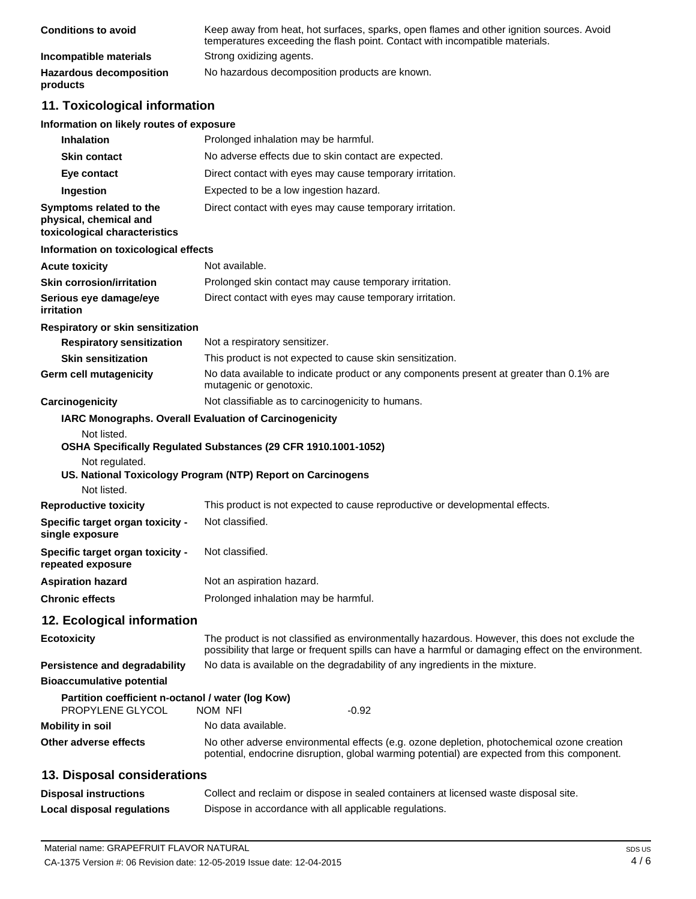| <b>Conditions to avoid</b>                 | Keep away from heat, hot surfaces, sparks, open flames and other ignition sources. Avoid<br>temperatures exceeding the flash point. Contact with incompatible materials. |
|--------------------------------------------|--------------------------------------------------------------------------------------------------------------------------------------------------------------------------|
| Incompatible materials                     | Strong oxidizing agents.                                                                                                                                                 |
| <b>Hazardous decomposition</b><br>products | No hazardous decomposition products are known.                                                                                                                           |

### **11. Toxicological information**

### **Information on likely routes of exposure**

| <b>Inhalation</b>                                                                   | Prolonged inhalation may be harmful.                                                                                                                                                                  |
|-------------------------------------------------------------------------------------|-------------------------------------------------------------------------------------------------------------------------------------------------------------------------------------------------------|
| <b>Skin contact</b>                                                                 | No adverse effects due to skin contact are expected.                                                                                                                                                  |
| Eye contact                                                                         | Direct contact with eyes may cause temporary irritation.                                                                                                                                              |
| Ingestion                                                                           | Expected to be a low ingestion hazard.                                                                                                                                                                |
| Symptoms related to the<br>physical, chemical and<br>toxicological characteristics  | Direct contact with eyes may cause temporary irritation.                                                                                                                                              |
| Information on toxicological effects                                                |                                                                                                                                                                                                       |
| <b>Acute toxicity</b>                                                               | Not available.                                                                                                                                                                                        |
| <b>Skin corrosion/irritation</b>                                                    | Prolonged skin contact may cause temporary irritation.                                                                                                                                                |
| Serious eye damage/eye<br>irritation                                                | Direct contact with eyes may cause temporary irritation.                                                                                                                                              |
| Respiratory or skin sensitization                                                   |                                                                                                                                                                                                       |
| <b>Respiratory sensitization</b>                                                    | Not a respiratory sensitizer.                                                                                                                                                                         |
| <b>Skin sensitization</b>                                                           | This product is not expected to cause skin sensitization.                                                                                                                                             |
| Germ cell mutagenicity                                                              | No data available to indicate product or any components present at greater than 0.1% are<br>mutagenic or genotoxic.                                                                                   |
| Carcinogenicity                                                                     | Not classifiable as to carcinogenicity to humans.                                                                                                                                                     |
| Not listed.<br>Not regulated.                                                       | IARC Monographs. Overall Evaluation of Carcinogenicity<br>OSHA Specifically Regulated Substances (29 CFR 1910.1001-1052)<br>US. National Toxicology Program (NTP) Report on Carcinogens               |
| Not listed.                                                                         |                                                                                                                                                                                                       |
| <b>Reproductive toxicity</b><br>Specific target organ toxicity -<br>single exposure | This product is not expected to cause reproductive or developmental effects.<br>Not classified.                                                                                                       |
| Specific target organ toxicity -<br>repeated exposure                               | Not classified.                                                                                                                                                                                       |
| <b>Aspiration hazard</b>                                                            | Not an aspiration hazard.                                                                                                                                                                             |
| <b>Chronic effects</b>                                                              | Prolonged inhalation may be harmful.                                                                                                                                                                  |
| 12. Ecological information                                                          |                                                                                                                                                                                                       |
| <b>Ecotoxicity</b>                                                                  | The product is not classified as environmentally hazardous. However, this does not exclude the<br>possibility that large or frequent spills can have a harmful or damaging effect on the environment. |
| <b>Persistence and degradability</b>                                                | No data is available on the degradability of any ingredients in the mixture.                                                                                                                          |
| <b>Bioaccumulative potential</b>                                                    |                                                                                                                                                                                                       |
| Partition coefficient n-octanol / water (log Kow)<br>PROPYLENE GLYCOL               | $-0.92$<br>NOM NFI                                                                                                                                                                                    |
| <b>Mobility in soil</b>                                                             | No data available.                                                                                                                                                                                    |
| Other adverse effects                                                               | No other adverse environmental effects (e.g. ozone depletion, photochemical ozone creation<br>potential, endocrine disruption, global warming potential) are expected from this component.            |
| 13. Disposal considerations                                                         |                                                                                                                                                                                                       |
| <b>Disposal instructions</b>                                                        | Collect and reclaim or dispose in sealed containers at licensed waste disposal site.                                                                                                                  |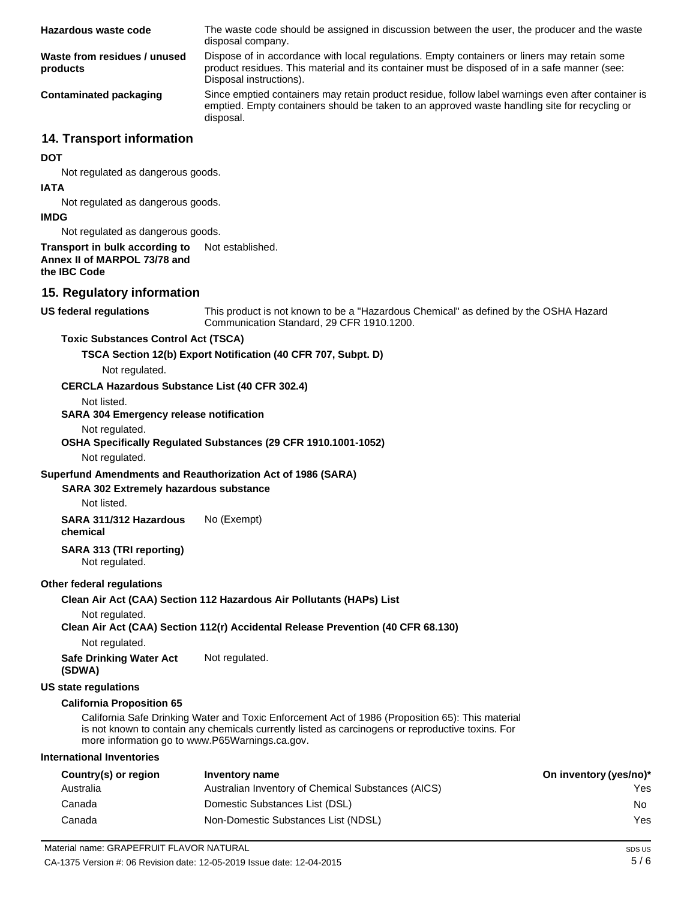| Hazardous waste code                     | The waste code should be assigned in discussion between the user, the producer and the waste<br>disposal company.                                                                                                      |
|------------------------------------------|------------------------------------------------------------------------------------------------------------------------------------------------------------------------------------------------------------------------|
| Waste from residues / unused<br>products | Dispose of in accordance with local regulations. Empty containers or liners may retain some<br>product residues. This material and its container must be disposed of in a safe manner (see:<br>Disposal instructions). |
| Contaminated packaging                   | Since emptied containers may retain product residue, follow label warnings even after container is<br>emptied. Empty containers should be taken to an approved waste handling site for recycling or<br>disposal.       |

### **14. Transport information**

#### **DOT**

Not regulated as dangerous goods.

#### **IATA**

Not regulated as dangerous goods.

#### **IMDG**

Not regulated as dangerous goods.

#### **Transport in bulk according to Annex II of MARPOL 73/78 and the IBC Code** Not established.

### **15. Regulatory information**

#### **US federal regulations**

This product is not known to be a "Hazardous Chemical" as defined by the OSHA Hazard Communication Standard, 29 CFR 1910.1200.

#### **Toxic Substances Control Act (TSCA)**

**TSCA Section 12(b) Export Notification (40 CFR 707, Subpt. D)**

## Not regulated.

#### **CERCLA Hazardous Substance List (40 CFR 302.4)**

Not listed.

#### **SARA 304 Emergency release notification**

#### Not regulated.

#### **OSHA Specifically Regulated Substances (29 CFR 1910.1001-1052)**

Not regulated.

#### **Superfund Amendments and Reauthorization Act of 1986 (SARA)**

#### **SARA 302 Extremely hazardous substance**

Not listed.

**SARA 311/312 Hazardous chemical** No (Exempt)

### **SARA 313 (TRI reporting)**

Not regulated.

#### **Other federal regulations**

#### **Clean Air Act (CAA) Section 112 Hazardous Air Pollutants (HAPs) List**

Not regulated.

#### **Clean Air Act (CAA) Section 112(r) Accidental Release Prevention (40 CFR 68.130)**

Not regulated.

**Safe Drinking Water Act (SDWA)** Not regulated.

#### **US state regulations**

#### **California Proposition 65**

California Safe Drinking Water and Toxic Enforcement Act of 1986 (Proposition 65): This material is not known to contain any chemicals currently listed as carcinogens or reproductive toxins. For more information go to [www.P65Warnings.ca.gov.](http://www.p65warnings.ca.gov/)

#### **International Inventories**

| Country(s) or region | Inventory name                                     | On inventory (yes/no)* |
|----------------------|----------------------------------------------------|------------------------|
| Australia            | Australian Inventory of Chemical Substances (AICS) | Yes.                   |
| Canada               | Domestic Substances List (DSL)                     | No.                    |
| Canada               | Non-Domestic Substances List (NDSL)                | Yes.                   |